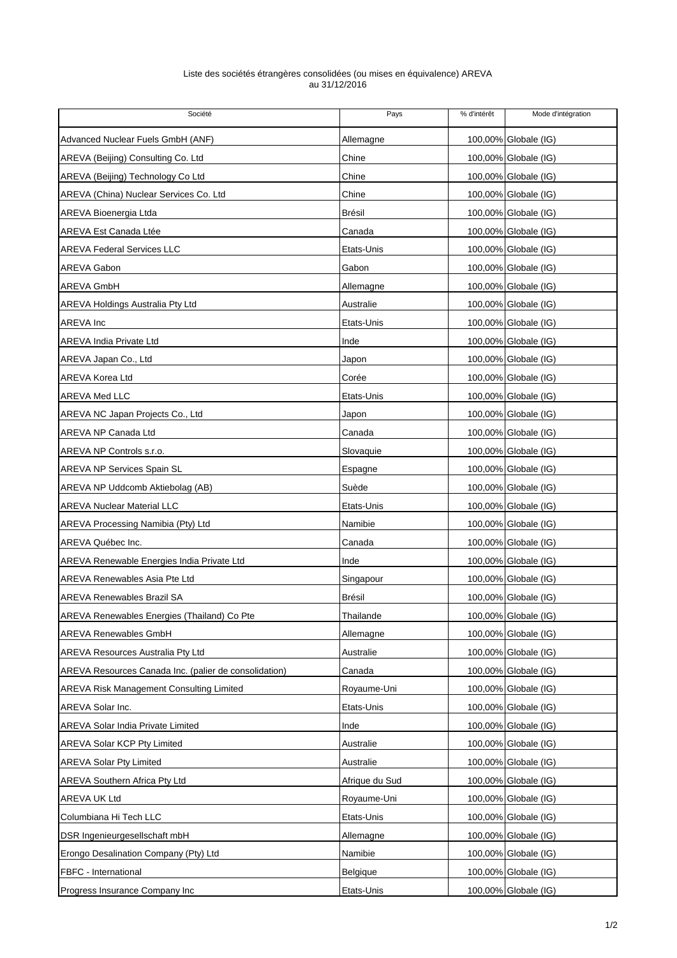## Liste des sociétés étrangères consolidées (ou mises en équivalence) AREVA au 31/12/2016

| Société                                               | Pays           | % d'intérêt | Mode d'intégration   |
|-------------------------------------------------------|----------------|-------------|----------------------|
| Advanced Nuclear Fuels GmbH (ANF)                     | Allemagne      |             | 100,00% Globale (IG) |
| AREVA (Beijing) Consulting Co. Ltd                    | Chine          |             | 100,00% Globale (IG) |
| AREVA (Beijing) Technology Co Ltd                     | Chine          |             | 100,00% Globale (IG) |
| AREVA (China) Nuclear Services Co. Ltd                | Chine          |             | 100,00% Globale (IG) |
| AREVA Bioenergia Ltda                                 | Brésil         |             | 100,00% Globale (IG) |
| <b>AREVA Est Canada Ltée</b>                          | Canada         |             | 100,00% Globale (IG) |
| <b>AREVA Federal Services LLC</b>                     | Etats-Unis     |             | 100,00% Globale (IG) |
| AREVA Gabon                                           | Gabon          |             | 100,00% Globale (IG) |
| <b>AREVA GmbH</b>                                     | Allemagne      |             | 100,00% Globale (IG) |
| AREVA Holdings Australia Pty Ltd                      | Australie      |             | 100,00% Globale (IG) |
| AREVA Inc                                             | Etats-Unis     |             | 100,00% Globale (IG) |
| <b>AREVA India Private Ltd</b>                        | Inde           |             | 100,00% Globale (IG) |
| AREVA Japan Co., Ltd                                  | Japon          |             | 100,00% Globale (IG) |
| <b>AREVA Korea Ltd</b>                                | Corée          |             | 100,00% Globale (IG) |
| AREVA Med LLC                                         | Etats-Unis     |             | 100,00% Globale (IG) |
| AREVA NC Japan Projects Co., Ltd                      | Japon          |             | 100,00% Globale (IG) |
| AREVA NP Canada Ltd                                   | Canada         |             | 100,00% Globale (IG) |
| AREVA NP Controls s.r.o.                              | Slovaquie      |             | 100,00% Globale (IG) |
| AREVA NP Services Spain SL                            | Espagne        |             | 100,00% Globale (IG) |
| AREVA NP Uddcomb Aktiebolag (AB)                      | Suède          |             | 100,00% Globale (IG) |
| <b>AREVA Nuclear Material LLC</b>                     | Etats-Unis     |             | 100,00% Globale (IG) |
| AREVA Processing Namibia (Pty) Ltd                    | Namibie        |             | 100,00% Globale (IG) |
| AREVA Québec Inc.                                     | Canada         |             | 100,00% Globale (IG) |
| AREVA Renewable Energies India Private Ltd            | Inde           |             | 100,00% Globale (IG) |
| AREVA Renewables Asia Pte Ltd                         | Singapour      |             | 100,00% Globale (IG) |
| <b>AREVA Renewables Brazil SA</b>                     | Brésil         |             | 100,00% Globale (IG) |
| AREVA Renewables Energies (Thailand) Co Pte           | Thailande      |             | 100,00% Globale (IG) |
| <b>AREVA Renewables GmbH</b>                          | Allemagne      |             | 100,00% Globale (IG) |
| <b>AREVA Resources Australia Pty Ltd</b>              | Australie      |             | 100,00% Globale (IG) |
| AREVA Resources Canada Inc. (palier de consolidation) | Canada         |             | 100,00% Globale (IG) |
| <b>AREVA Risk Management Consulting Limited</b>       | Royaume-Uni    |             | 100,00% Globale (IG) |
| AREVA Solar Inc.                                      | Etats-Unis     |             | 100,00% Globale (IG) |
| <b>AREVA Solar India Private Limited</b>              | Inde           |             | 100,00% Globale (IG) |
| AREVA Solar KCP Pty Limited                           | Australie      |             | 100,00% Globale (IG) |
| <b>AREVA Solar Pty Limited</b>                        | Australie      |             | 100,00% Globale (IG) |
| <b>AREVA Southern Africa Pty Ltd</b>                  | Afrique du Sud |             | 100,00% Globale (IG) |
| AREVA UK Ltd                                          | Royaume-Uni    |             | 100,00% Globale (IG) |
| Columbiana Hi Tech LLC                                | Etats-Unis     |             | 100,00% Globale (IG) |
| DSR Ingenieurgesellschaft mbH                         | Allemagne      |             | 100,00% Globale (IG) |
| Erongo Desalination Company (Pty) Ltd                 | Namibie        |             | 100,00% Globale (IG) |
| FBFC - International                                  | Belgique       |             | 100,00% Globale (IG) |
| Progress Insurance Company Inc                        | Etats-Unis     |             | 100,00% Globale (IG) |